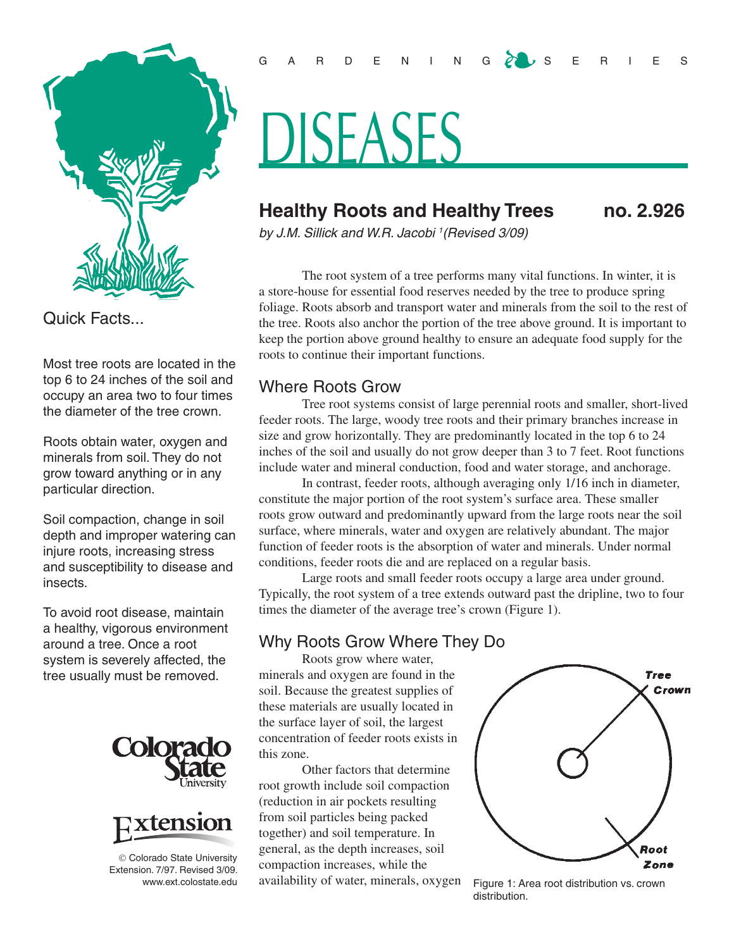

Quick Facts...

Most tree roots are located in the top 6 to 24 inches of the soil and occupy an area two to four times the diameter of the tree crown.

Roots obtain water, oxygen and minerals from soil. They do not grow toward anything or in any particular direction.

Soil compaction, change in soil depth and improper watering can injure roots, increasing stress and susceptibility to disease and insects.

To avoid root disease, maintain a healthy, vigorous environment around a tree. Once a root system is severely affected, the tree usually must be removed.





 Colorado State University Extension. 7/97. Revised 3/09. www.ext.colostate.edu

#### GARDENING PUSERIES

# DISEASES

### **Healthy Roots and Healthy Trees no. 2.926**

*by J.M. Sillick and W.R. Jacobi 1 (Revised 3/09)* 

The root system of a tree performs many vital functions. In winter, it is a store-house for essential food reserves needed by the tree to produce spring foliage. Roots absorb and transport water and minerals from the soil to the rest of the tree. Roots also anchor the portion of the tree above ground. It is important to keep the portion above ground healthy to ensure an adequate food supply for the roots to continue their important functions.

#### Where Roots Grow

Tree root systems consist of large perennial roots and smaller, short-lived feeder roots. The large, woody tree roots and their primary branches increase in size and grow horizontally. They are predominantly located in the top 6 to 24 inches of the soil and usually do not grow deeper than 3 to 7 feet. Root functions include water and mineral conduction, food and water storage, and anchorage.

In contrast, feeder roots, although averaging only 1/16 inch in diameter, constitute the major portion of the root system's surface area. These smaller roots grow outward and predominantly upward from the large roots near the soil surface, where minerals, water and oxygen are relatively abundant. The major function of feeder roots is the absorption of water and minerals. Under normal conditions, feeder roots die and are replaced on a regular basis.

Large roots and small feeder roots occupy a large area under ground. Typically, the root system of a tree extends outward past the dripline, two to four times the diameter of the average tree's crown (Figure 1).

#### Why Roots Grow Where They Do

Roots grow where water, minerals and oxygen are found in the soil. Because the greatest supplies of these materials are usually located in the surface layer of soil, the largest concentration of feeder roots exists in this zone.

Other factors that determine root growth include soil compaction (reduction in air pockets resulting from soil particles being packed together) and soil temperature. In general, as the depth increases, soil compaction increases, while the availability of water, minerals, oxygen Figure 1: Area root distribution vs. crown



distribution.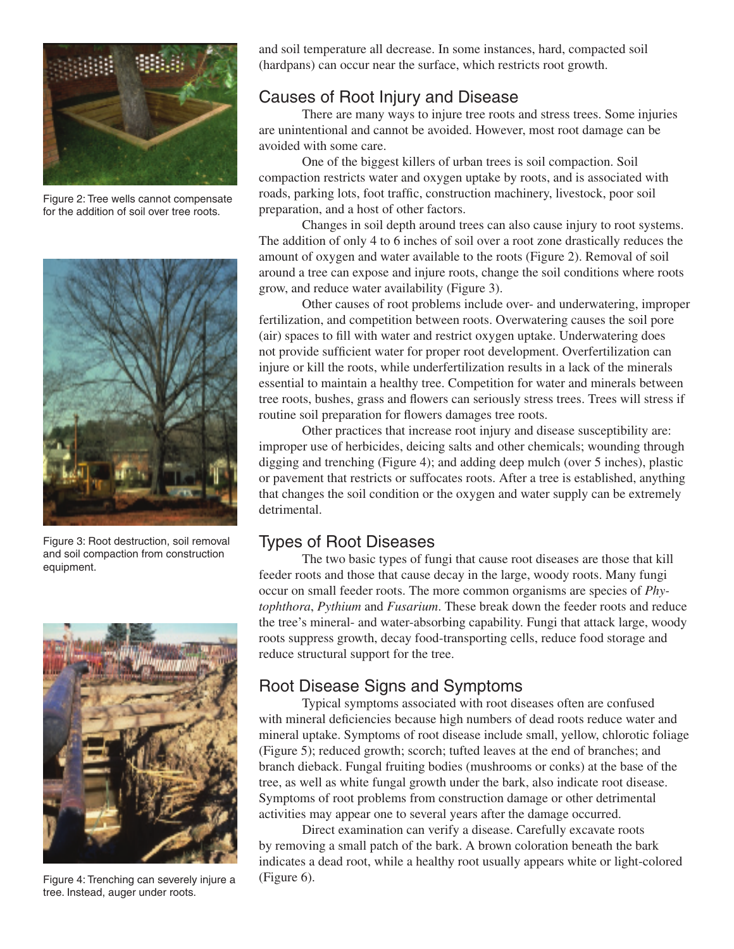

Figure 2: Tree wells cannot compensate for the addition of soil over tree roots.



Figure 3: Root destruction, soil removal and soil compaction from construction equipment.



Figure 4: Trenching can severely injure a tree. Instead, auger under roots.

and soil temperature all decrease. In some instances, hard, compacted soil (hardpans) can occur near the surface, which restricts root growth.

#### Causes of Root Injury and Disease

There are many ways to injure tree roots and stress trees. Some injuries are unintentional and cannot be avoided. However, most root damage can be avoided with some care.

One of the biggest killers of urban trees is soil compaction. Soil compaction restricts water and oxygen uptake by roots, and is associated with roads, parking lots, foot traffic, construction machinery, livestock, poor soil preparation, and a host of other factors.

Changes in soil depth around trees can also cause injury to root systems. The addition of only 4 to 6 inches of soil over a root zone drastically reduces the amount of oxygen and water available to the roots (Figure 2). Removal of soil around a tree can expose and injure roots, change the soil conditions where roots grow, and reduce water availability (Figure 3).

Other causes of root problems include over- and underwatering, improper fertilization, and competition between roots. Overwatering causes the soil pore (air) spaces to fill with water and restrict oxygen uptake. Underwatering does not provide sufficient water for proper root development. Overfertilization can injure or kill the roots, while underfertilization results in a lack of the minerals essential to maintain a healthy tree. Competition for water and minerals between tree roots, bushes, grass and flowers can seriously stress trees. Trees will stress if routine soil preparation for flowers damages tree roots.

Other practices that increase root injury and disease susceptibility are: improper use of herbicides, deicing salts and other chemicals; wounding through digging and trenching (Figure 4); and adding deep mulch (over 5 inches), plastic or pavement that restricts or suffocates roots. After a tree is established, anything that changes the soil condition or the oxygen and water supply can be extremely detrimental.

#### Types of Root Diseases

The two basic types of fungi that cause root diseases are those that kill feeder roots and those that cause decay in the large, woody roots. Many fungi occur on small feeder roots. The more common organisms are species of *Phytophthora*, *Pythium* and *Fusarium*. These break down the feeder roots and reduce the tree's mineral- and water-absorbing capability. Fungi that attack large, woody roots suppress growth, decay food-transporting cells, reduce food storage and reduce structural support for the tree.

#### Root Disease Signs and Symptoms

Typical symptoms associated with root diseases often are confused with mineral deficiencies because high numbers of dead roots reduce water and mineral uptake. Symptoms of root disease include small, yellow, chlorotic foliage (Figure 5); reduced growth; scorch; tufted leaves at the end of branches; and branch dieback. Fungal fruiting bodies (mushrooms or conks) at the base of the tree, as well as white fungal growth under the bark, also indicate root disease. Symptoms of root problems from construction damage or other detrimental activities may appear one to several years after the damage occurred.

Direct examination can verify a disease. Carefully excavate roots by removing a small patch of the bark. A brown coloration beneath the bark indicates a dead root, while a healthy root usually appears white or light-colored (Figure 6).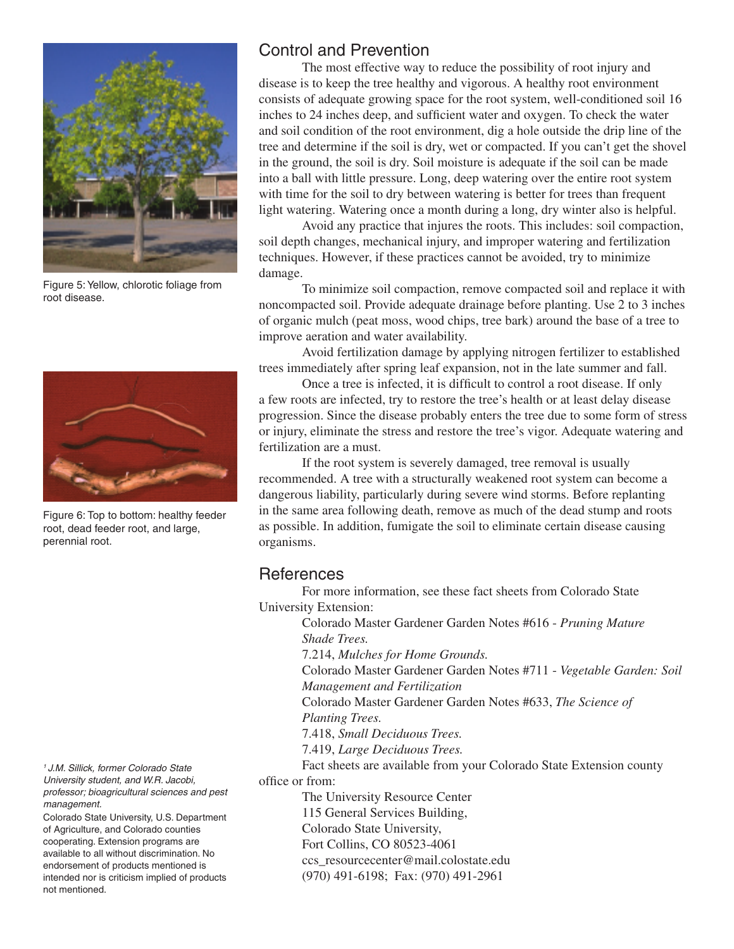

Figure 5: Yellow, chlorotic foliage from root disease.



Figure 6: Top to bottom: healthy feeder root, dead feeder root, and large, perennial root.

*1 J.M. Sillick, former Colorado State University student, and W.R. Jacobi, professor; bioagricultural sciences and pest management.*

Colorado State University, U.S. Department of Agriculture, and Colorado counties cooperating. Extension programs are available to all without discrimination. No endorsement of products mentioned is intended nor is criticism implied of products not mentioned.

#### Control and Prevention

The most effective way to reduce the possibility of root injury and disease is to keep the tree healthy and vigorous. A healthy root environment consists of adequate growing space for the root system, well-conditioned soil 16 inches to 24 inches deep, and sufficient water and oxygen. To check the water and soil condition of the root environment, dig a hole outside the drip line of the tree and determine if the soil is dry, wet or compacted. If you can't get the shovel in the ground, the soil is dry. Soil moisture is adequate if the soil can be made into a ball with little pressure. Long, deep watering over the entire root system with time for the soil to dry between watering is better for trees than frequent light watering. Watering once a month during a long, dry winter also is helpful.

Avoid any practice that injures the roots. This includes: soil compaction, soil depth changes, mechanical injury, and improper watering and fertilization techniques. However, if these practices cannot be avoided, try to minimize damage.

To minimize soil compaction, remove compacted soil and replace it with noncompacted soil. Provide adequate drainage before planting. Use 2 to 3 inches of organic mulch (peat moss, wood chips, tree bark) around the base of a tree to improve aeration and water availability.

Avoid fertilization damage by applying nitrogen fertilizer to established trees immediately after spring leaf expansion, not in the late summer and fall.

Once a tree is infected, it is difficult to control a root disease. If only a few roots are infected, try to restore the tree's health or at least delay disease progression. Since the disease probably enters the tree due to some form of stress or injury, eliminate the stress and restore the tree's vigor. Adequate watering and fertilization are a must.

If the root system is severely damaged, tree removal is usually recommended. A tree with a structurally weakened root system can become a dangerous liability, particularly during severe wind storms. Before replanting in the same area following death, remove as much of the dead stump and roots as possible. In addition, fumigate the soil to eliminate certain disease causing organisms.

#### **References**

For more information, see these fact sheets from Colorado State University Extension:

Colorado Master Gardener Garden Notes #616 - *Pruning Mature Shade Trees.*

7.214, *Mulches for Home Grounds.* 

Colorado Master Gardener Garden Notes #711 - *Vegetable Garden: Soil Management and Fertilization*

Colorado Master Gardener Garden Notes #633, *The Science of* 

*Planting Trees.*

7.418, *Small Deciduous Trees.*

7.419, *Large Deciduous Trees.*

Fact sheets are available from your Colorado State Extension county office or from:

The University Resource Center

115 General Services Building,

Colorado State University,

Fort Collins, CO 80523-4061

ccs\_resourcecenter@mail.colostate.edu

(970) 491-6198; Fax: (970) 491-2961